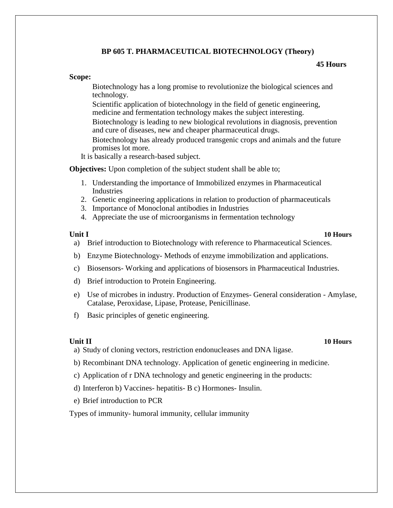# **BP 605 T. PHARMACEUTICAL BIOTECHNOLOGY (Theory)**

### **45 Hours**

### **Scope:**

Biotechnology has a long promise to revolutionize the biological sciences and technology.

Scientific application of biotechnology in the field of genetic engineering, medicine and fermentation technology makes the subject interesting.

Biotechnology is leading to new biological revolutions in diagnosis, prevention and cure of diseases, new and cheaper pharmaceutical drugs.

Biotechnology has already produced transgenic crops and animals and the future promises lot more.

It is basically a research-based subject.

**Objectives:** Upon completion of the subject student shall be able to;

- 1. Understanding the importance of Immobilized enzymes in Pharmaceutical Industries
- 2. Genetic engineering applications in relation to production of pharmaceuticals
- 3. Importance of Monoclonal antibodies in Industries
- 4. Appreciate the use of microorganisms in fermentation technology

### **Unit I 10 Hours**

- a) Brief introduction to Biotechnology with reference to Pharmaceutical Sciences.
- b) Enzyme Biotechnology- Methods of enzyme immobilization and applications.
- c) Biosensors- Working and applications of biosensors in Pharmaceutical Industries.
- d) Brief introduction to Protein Engineering.
- e) Use of microbes in industry. Production of Enzymes- General consideration Amylase, Catalase, Peroxidase, Lipase, Protease, Penicillinase.
- f) Basic principles of genetic engineering.

### **Unit II 10 Hours**

- a) Study of cloning vectors, restriction endonucleases and DNA ligase.
- b) Recombinant DNA technology. Application of genetic engineering in medicine.
- c) Application of r DNA technology and genetic engineering in the products:
- d) Interferon b) Vaccines- hepatitis- B c) Hormones- Insulin.
- e) Brief introduction to PCR

Types of immunity- humoral immunity, cellular immunity